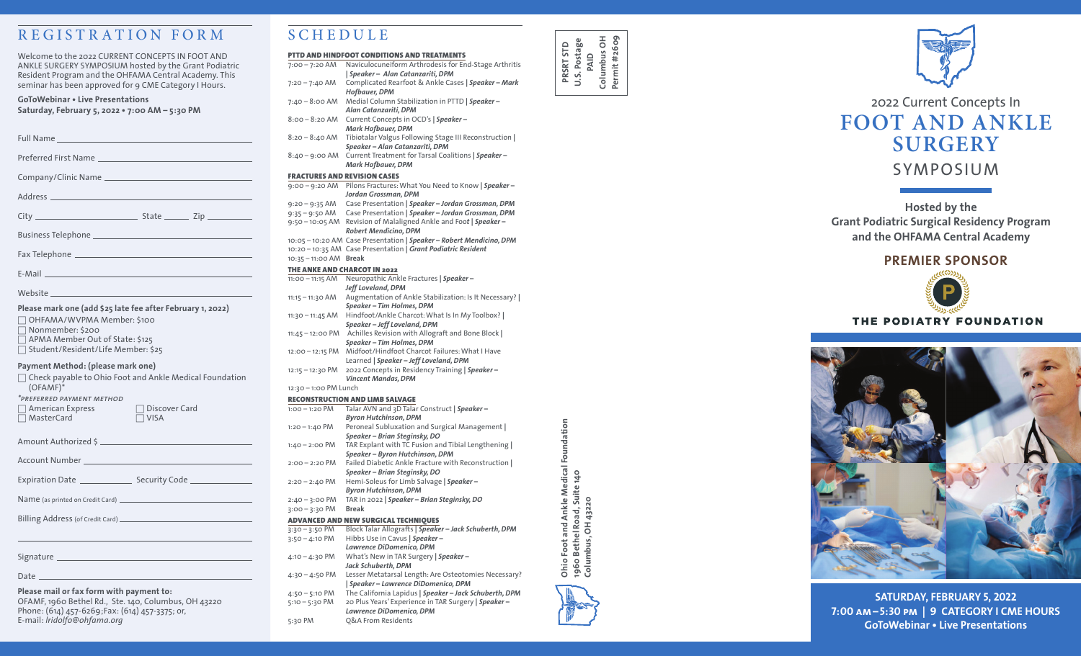# REGISTRATION FORM

Welcome to the 2022 CURRENT CONCEPTS IN FOOT AND ANKLE SURGERY SYMPOSIUM hosted by the Grant Podiatric Resident Program and the OHFAMA Central Academy. This seminar has been approved for 9 CME Category I Hours.

#### **GoToWebinar • Live Presentations Saturday, February 5, 2022 • 7:00 AM – 5:30 PM**

| <b>Full Name</b>            |  |
|-----------------------------|--|
| <b>Preferred First Name</b> |  |

Company/Clinic Name

Address and the contract of the contract of the contract of the contract of the contract of the contract of the contract of the contract of the contract of the contract of the contract of the contract of the contract of th

 $City$   $City$   $State$   $Zip$ 

Business Telephone

Fax Telephone

Website **Website** 

#### **Please mark one (add \$25 late fee after February 1, 2022)**

E-Mail

□ OHFAMA/WVPMA Member: \$100

- □ Nonmember: \$200
- □ APMA Member Out of State: \$125
- □ Student/Resident/Life Member: \$25

#### **Payment Method: (please mark one)**

| $(OFAMF)^*$                                                          | $\Box$ Check payable to Ohio Foot and Ankle Medical Foundation |
|----------------------------------------------------------------------|----------------------------------------------------------------|
| *PREFERRED PAYMENT METHOD<br>$\Box$ American Express<br>□ MasterCard | $\Box$ Discover Card<br>$\Box$ VISA                            |
|                                                                      |                                                                |
|                                                                      |                                                                |
|                                                                      |                                                                |
|                                                                      |                                                                |
|                                                                      |                                                                |

Signature \_

Date \_\_\_\_\_\_

#### **Please mail or fax form with payment to:**

OFAMF, 1960 Bethel Rd., Ste. 140, Columbus, OH 43220 Phone: (614) 457-6269;Fax: (614) 457-3375; or, E-mail: *lridolfo@ohfama.org* 

# SCHEDULE

#### PTTD AND HINDFOOT CONDITIONS AND TREATMENTS

- 7:00 7:20 AM Naviculocuneiform Arthrodesis for End-Stage Arthritis *| Speaker – Alan Catanzariti, DPM*
- 7:20 7:40 AM Complicated Rearfoot & Ankle Cases *| Speaker Mark Hofbauer, DPM* 7:40 – 8:00 AM Medial Column Stabilization in PTTD *| Speaker –*
- *Alan Catanzariti, DPM* 8:00 – 8:20 AM Current Concepts in OCD's *| Speaker –*
- *Mark Hofbauer, DPM* 8:20 – 8:40 AM Tibiotalar Valgus Following Stage III Reconstruction *|*
- *Speaker Alan Catanzariti, DPM* 8:40 – 9:00 AM Current Treatment for Tarsal Coalitions *| Speaker – Mark Hofbauer, DPM*

#### FRACTURES AND REVISION CASES

9:00 – 9:20 AM Pilons Fractures: What You Need to Know *| Speaker – Jordan Grossman, DPM* 9:20 – 9:35 AM Case Presentation *| Speaker – Jordan Grossman, DPM* 9:35 – 9:50 AM Case Presentation *| Speaker – Jordan Grossman, DPM*

9:50 – 10:05 AM Revision of Malaligned Ankle and Foo*t | Speaker – Robert Mendicino, DPM*

10:05 – 10:20 AM Case Presentation *| Speaker – Robert Mendicino, DPM* 10:20 – 10:35 AM Case Presentation *| Grant Podiatric Resident* 10:35 – 11:00 AM **Break**

#### THE ANKE AND CHARCOT IN 2022

11:00 – 11:15 AM Neuropathic Ankle Fractures *| Speaker – Jeff Loveland, DPM* 11:15 – 11:30 AM Augmentation of Ankle Stabilization: Is It Necessary? *| Speaker – Tim Holmes, DPM* 11:30 – 11:45 AM Hindfoot/Ankle Charcot: What Is In My Toolbox? *| Speaker – Jeff Loveland, DPM* 11:45 – 12:00 PM Achilles Revision with Allograft and Bone Block *|* 

*Speaker – Tim Holmes, DPM* 12:00 – 12:15 PM Midfoot/Hindfoot Charcot Failures: What I Have Learned *| Speaker – Jeff Loveland, DPM* 12:15 – 12:30 PM 2022 Concepts in Residency Training *| Speaker –* 

*Vincent Mandas, DPM* 12:30 – 1:00 PM Lunch

#### RECONSTRUCTION AND LIMB SALVAGE

- 1:00 1:20 PM Talar AVN and 3D Talar Construct *| Speaker Byron Hutchinson, DPM* 1:20 – 1:40 PM Peroneal Subluxation and Surgical Management *| Speaker – Brian Steginsky, DO* 1:40 – 2:00 PM TAR Explant with TC Fusion and Tibial Lengthening *| Speaker – Byron Hutchinson, DPM* 2:00 – 2:20 PM Failed Diabetic Ankle Fracture with Reconstruction *| Speaker – Brian Steginsky, DO* 2:20 – 2:40 PM Hemi-Soleus for Limb Salvage *| Speaker – Byron Hutchinson, DPM* 2:40 – 3:00 PM TAR in 2022 *| Speaker – Brian Steginsky, DO* 3:00 – 3:30 PM **Break ADVANCED AND NEW SURGICAL TECHNIQUES**<br>3:30 - 3:50 PM Block Talar Allografts | Speake 3:30 – 3:50 PM Block Talar Allografts *| Speaker – Jack Schuberth, DPM* 3:50 – 4:10 PM Hibbs Use in Cavus *| Speaker –*
- *Lawrence DiDomenico, DPM* 4:10 – 4:30 PM What's New in TAR Surgery *| Speaker – Jack Schuberth, DPM* 4:30 – 4:50 PM Lesser Metatarsal Length: Are Osteotomies Necessary? *| Speaker – Lawrence DiDomenico, DPM* 4:50 – 5:10 PM The California Lapidus *| Speaker – Jack Schuberth, DPM*

5:10 – 5:30 PM 20 Plus Years' Experience in TAR Surgery *| Speaker – Lawrence DiDomenico, DPM*

5:30 PM Q&A From Residents





# 2022 Current Concepts In **FOOT AND ANKLE SURGERY**

SYMPOSIUM

## **Hosted by the Grant Podiatric Surgical Residency Program and the OHFAMA Central Academy**

## **PREMIER SPONSOR**



#### THE PODIATRY FOUNDATION



**SATURDAY, FEBRUARY 5, 2022 7:00 am –5:30 pm | 9 CATEGORY I CME HOURS GoToWebinar • Live Presentations**

Ohio Foot and Ankle Medical Foundation<br>1960 Bethel Road, Suite 140<br>Columbus, OH 43220 **Ohio Foot and Ankle Medical Foundation 1960 Bethel Road, Suite 140**

**Columbus, OH 43220**